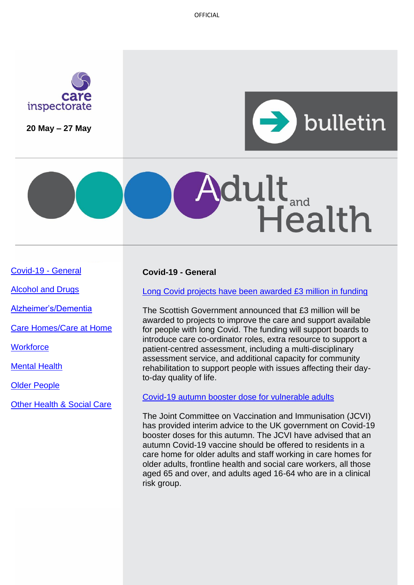OFFICIAL



**20 May – 27 May**



# dult<sub>and</sub><br>Health

[Covid-19 -](#page-0-0) General

[Alcohol and Drugs](#page-0-0)

[Alzheimer's/Dementia](#page-1-0)

[Care Homes/Care at Home](#page-2-0)

**Workforce** 

[Mental Health](#page-2-1)

[Older People](#page-2-2)

[Other Health & Social Care](#page-3-0)

# <span id="page-0-0"></span>**Covid-19 - General**

[Long Covid projects have been awarded £3 million in funding](https://www.gov.scot/news/gbp-3-million-awarded-to-long-covid-projects/)

The Scottish Government announced that £3 million will be awarded to projects to improve the care and support available for people with long Covid. The funding will support boards to introduce care co-ordinator roles, extra resource to support a patient-centred assessment, including a multi-disciplinary assessment service, and additional capacity for community rehabilitation to support people with issues affecting their dayto-day quality of life.

[Covid-19 autumn booster dose for vulnerable adults](https://www.gov.uk/government/publications/jcvi-interim-statement-on-covid-19-autumn-2022-vaccination-programme)

The Joint Committee on Vaccination and Immunisation (JCVI) has provided interim advice to the UK government on Covid-19 booster doses for this autumn. The JCVI have advised that an autumn Covid-19 vaccine should be offered to residents in a care home for older adults and staff working in care homes for older adults, frontline health and social care workers, all those aged 65 and over, and adults aged 16-64 who are in a clinical risk group.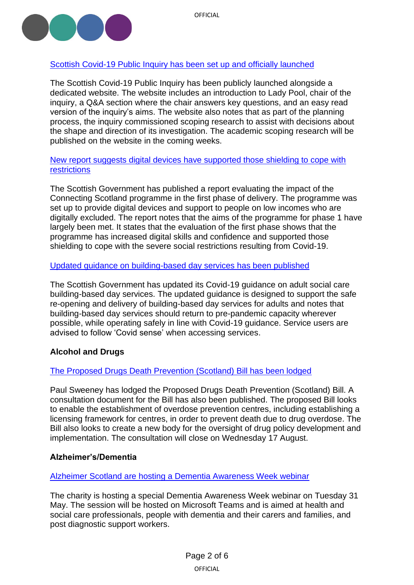

# <span id="page-1-0"></span>Scottish Covid-19 [Public Inquiry has been](https://www.covid19inquiry.scot/) set up and officially launched

The Scottish Covid-19 Public Inquiry has been publicly launched alongside a dedicated website. The website includes an introduction to Lady Pool, chair of the inquiry, a Q&A section where the chair answers key questions, and an easy read version of the inquiry's aims. The website also notes that as part of the planning process, the inquiry commissioned scoping research to assist with decisions about the shape and direction of its investigation. The academic scoping research will be published on the website in the coming weeks.

## [New report suggests digital devices have supported those shielding to cope with](https://www.gov.scot/publications/connecting-scotland-phase-1-evaluation/)  [restrictions](https://www.gov.scot/publications/connecting-scotland-phase-1-evaluation/)

The Scottish Government has published a report evaluating the impact of the Connecting Scotland programme in the first phase of delivery. The programme was set up to provide digital devices and support to people on low incomes who are digitally excluded. The report notes that the aims of the programme for phase 1 have largely been met. It states that the evaluation of the first phase shows that the programme has increased digital skills and confidence and supported those shielding to cope with the severe social restrictions resulting from Covid-19.

## [Updated guidance on building-based day services has been published](https://www.gov.scot/publications/coronavirus-covid-19-guidance-on-adult-social-care-building-based-day-services/pages/individual-service-risk-assessments/)

The Scottish Government has updated its Covid-19 guidance on adult social care building-based day services. The updated guidance is designed to support the safe re-opening and delivery of building-based day services for adults and notes that building-based day services should return to pre-pandemic capacity wherever possible, while operating safely in line with Covid-19 guidance. Service users are advised to follow 'Covid sense' when accessing services.

# **Alcohol and Drugs**

## [The Proposed Drugs Death Prevention \(Scotland\) Bill has been lodged](https://www.parliament.scot/bills-and-laws/proposals-for-bills/proposed-drugs-death-prevention-scotland-bill)

Paul Sweeney has lodged the Proposed Drugs Death Prevention (Scotland) Bill. A consultation document for the Bill has also been published. The proposed Bill looks to enable the establishment of overdose prevention centres, including establishing a licensing framework for centres, in order to prevent death due to drug overdose. The Bill also looks to create a new body for the oversight of drug policy development and implementation. The consultation will close on Wednesday 17 August.

## **Alzheimer's/Dementia**

## [Alzheimer Scotland are hosting a Dementia Awareness Week webinar](https://www.alzscot.org/news/delivering-alzheimer-scotlands-5-pillar-model-of-post-diagnostic-support)

The charity is hosting a special Dementia Awareness Week webinar on Tuesday 31 May. The session will be hosted on Microsoft Teams and is aimed at health and social care professionals, people with dementia and their carers and families, and post diagnostic support workers.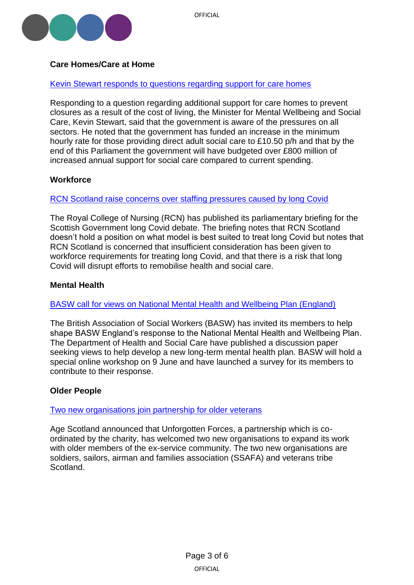

# <span id="page-2-0"></span>**Care Homes/Care at Home**

#### [Kevin Stewart responds to questions regarding support for care homes](https://www.parliament.scot/chamber-and-committees/written-questions-and-answers/question?ref=S6W-08537)

Responding to a question regarding additional support for care homes to prevent closures as a result of the cost of living, the Minister for Mental Wellbeing and Social Care, Kevin Stewart, said that the government is aware of the pressures on all sectors. He noted that the government has funded an increase in the minimum hourly rate for those providing direct adult social care to £10.50 p/h and that by the end of this Parliament the government will have budgeted over £800 million of increased annual support for social care compared to current spending.

#### **Workforce**

## [RCN Scotland raise concerns over staffing pressures caused by long Covid](https://www.rcn.org.uk/About-us/Our-Influencing-work/Policy-briefings/sco-parl-long-covid-briefing-190522)

The Royal College of Nursing (RCN) has published its parliamentary briefing for the Scottish Government long Covid debate. The briefing notes that RCN Scotland doesn't hold a position on what model is best suited to treat long Covid but notes that RCN Scotland is concerned that insufficient consideration has been given to workforce requirements for treating long Covid, and that there is a risk that long Covid will disrupt efforts to remobilise health and social care.

#### <span id="page-2-1"></span>**Mental Health**

#### [BASW call for views on National Mental Health and Wellbeing Plan \(England\)](https://www.basw.co.uk/media/news/2022/may/national-mental-health-and-wellbeing-plan-learn-more-help-us-shape-basw-englands)

The British Association of Social Workers (BASW) has invited its members to help shape BASW England's response to the National Mental Health and Wellbeing Plan. The Department of Health and Social Care have published a discussion paper seeking views to help develop a new long-term mental health plan. BASW will hold a special online workshop on 9 June and have launched a survey for its members to contribute to their response.

## <span id="page-2-2"></span>**Older People**

#### [Two new organisations join partnership for older veterans](https://www.ageuk.org.uk/scotland/latest-news/2022/may/unforgotten-forces-welcomes-two-new-veterans-partners/)

Age Scotland announced that Unforgotten Forces, a partnership which is coordinated by the charity, has welcomed two new organisations to expand its work with older members of the ex-service community. The two new organisations are soldiers, sailors, airman and families association (SSAFA) and veterans tribe Scotland.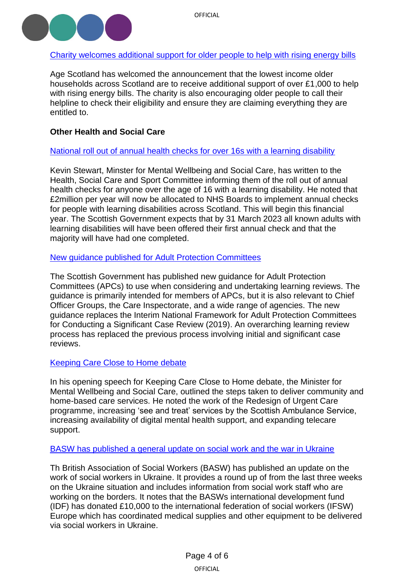

[Charity welcomes additional support for older people](https://www.ageuk.org.uk/scotland/latest-news/2022/may/age-scotland-welcomes-chancellors-support-package-for-lowest-income-pensioners/) to help with rising energy bills

Age Scotland has welcomed the announcement that the lowest income older households across Scotland are to receive additional support of over £1,000 to help with rising energy bills. The charity is also encouraging older people to call their helpline to check their eligibility and ensure they are claiming everything they are entitled to.

# <span id="page-3-0"></span>**Other Health and Social Care**

## [National roll out of annual health checks for over 16s with a learning disability](https://www.parliament.scot/chamber-and-committees/committees/current-and-previous-committees/session-6-health-social-care-and-sport-committee/correspondence/2022/announcement-of-health-checks-for-anyone-over-16-with-a-learning-disablity)

Kevin Stewart, Minster for Mental Wellbeing and Social Care, has written to the Health, Social Care and Sport Committee informing them of the roll out of annual health checks for anyone over the age of 16 with a learning disability. He noted that £2million per year will now be allocated to NHS Boards to implement annual checks for people with learning disabilities across Scotland. This will begin this financial year. The Scottish Government expects that by 31 March 2023 all known adults with learning disabilities will have been offered their first annual check and that the majority will have had one completed.

## [New guidance published for Adult Protection Committees](https://www.gov.scot/publications/adult-support-protection-learning-review-guidance/)

The Scottish Government has published new guidance for Adult Protection Committees (APCs) to use when considering and undertaking learning reviews. The guidance is primarily intended for members of APCs, but it is also relevant to Chief Officer Groups, the Care Inspectorate, and a wide range of agencies. The new guidance replaces the Interim National Framework for Adult Protection Committees for Conducting a Significant Case Review (2019). An overarching learning review process has replaced the previous process involving initial and significant case reviews.

## [Keeping Care Close to Home debate](https://www.gov.scot/publications/keeping-care-close-home-debate-ministerial-opening-speech/)

In his opening speech for Keeping Care Close to Home debate, the Minister for Mental Wellbeing and Social Care, outlined the steps taken to deliver community and home-based care services. He noted the work of the Redesign of Urgent Care programme, increasing 'see and treat' services by the Scottish Ambulance Service, increasing availability of digital mental health support, and expanding telecare support.

## [BASW has published a general update on social work and the war in Ukraine](https://www.basw.co.uk/media/news/2022/may/social-work-and-war-ukraine-update-18th-may-2022)

Th British Association of Social Workers (BASW) has published an update on the work of social workers in Ukraine. It provides a round up of from the last three weeks on the Ukraine situation and includes information from social work staff who are working on the borders. It notes that the BASWs international development fund (IDF) has donated £10,000 to the international federation of social workers (IFSW) Europe which has coordinated medical supplies and other equipment to be delivered via social workers in Ukraine.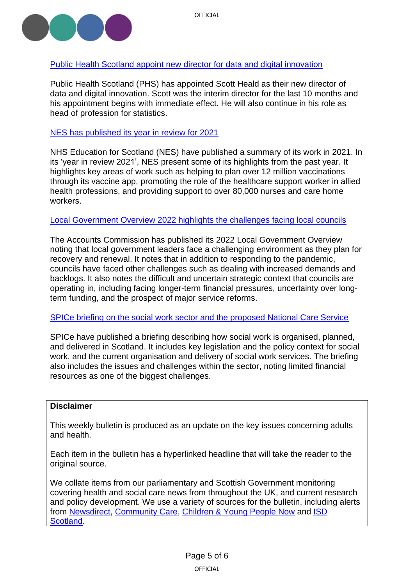

## [Public Health Scotland appoint new director for data and digital innovation](https://publichealthscotland.scot/news/2022/may/director-appointment-data-and-digital-innovation/)

Public Health Scotland (PHS) has appointed Scott Heald as their new director of data and digital innovation. Scott was the interim director for the last 10 months and his appointment begins with immediate effect. He will also continue in his role as head of profession for statistics.

## [NES has published its year in review for 2021](https://www.nes.scot.nhs.uk/news/2021-our-year-in-review/)

NHS Education for Scotland (NES) have published a summary of its work in 2021. In its 'year in review 2021', NES present some of its highlights from the past year. It highlights key areas of work such as helping to plan over 12 million vaccinations through its vaccine app, promoting the role of the healthcare support worker in allied health professions, and providing support to over 80,000 nurses and care home workers.

## [Local Government Overview 2022 highlights the challenges facing local councils](https://www.audit-scotland.gov.uk/uploads/docs/report/2022/nr_220525_local_government_overview.pdf)

The Accounts Commission has published its 2022 Local Government Overview noting that local government leaders face a challenging environment as they plan for recovery and renewal. It notes that in addition to responding to the pandemic, councils have faced other challenges such as dealing with increased demands and backlogs. It also notes the difficult and uncertain strategic context that councils are operating in, including facing longer-term financial pressures, uncertainty over longterm funding, and the prospect of major service reforms.

## [SPICe briefing on the social work sector and the proposed National Care Service](https://sp-bpr-en-prod-cdnep.azureedge.net/published/2022/5/25/874b58fd-9b59-4528-914e-ab1b857ab089/SB%2022-30.pdf)

SPICe have published a briefing describing how social work is organised, planned, and delivered in Scotland. It includes key legislation and the policy context for social work, and the current organisation and delivery of social work services. The briefing also includes the issues and challenges within the sector, noting limited financial resources as one of the biggest challenges.

#### **Disclaimer**

This weekly bulletin is produced as an update on the key issues concerning adults and health.

Each item in the bulletin has a hyperlinked headline that will take the reader to the original source.

We collate items from our parliamentary and Scottish Government monitoring covering health and social care news from throughout the UK, and current research and policy development. We use a variety of sources for the bulletin, including alerts from [Newsdirect,](https://news.direct/) [Community Care,](http://www.communitycare.co.uk/Home/) [Children & Young People Now](https://www.cypnow.co.uk/) and [ISD](http://www.media.scot.nhs.uk/)  [Scotland.](http://www.media.scot.nhs.uk/)